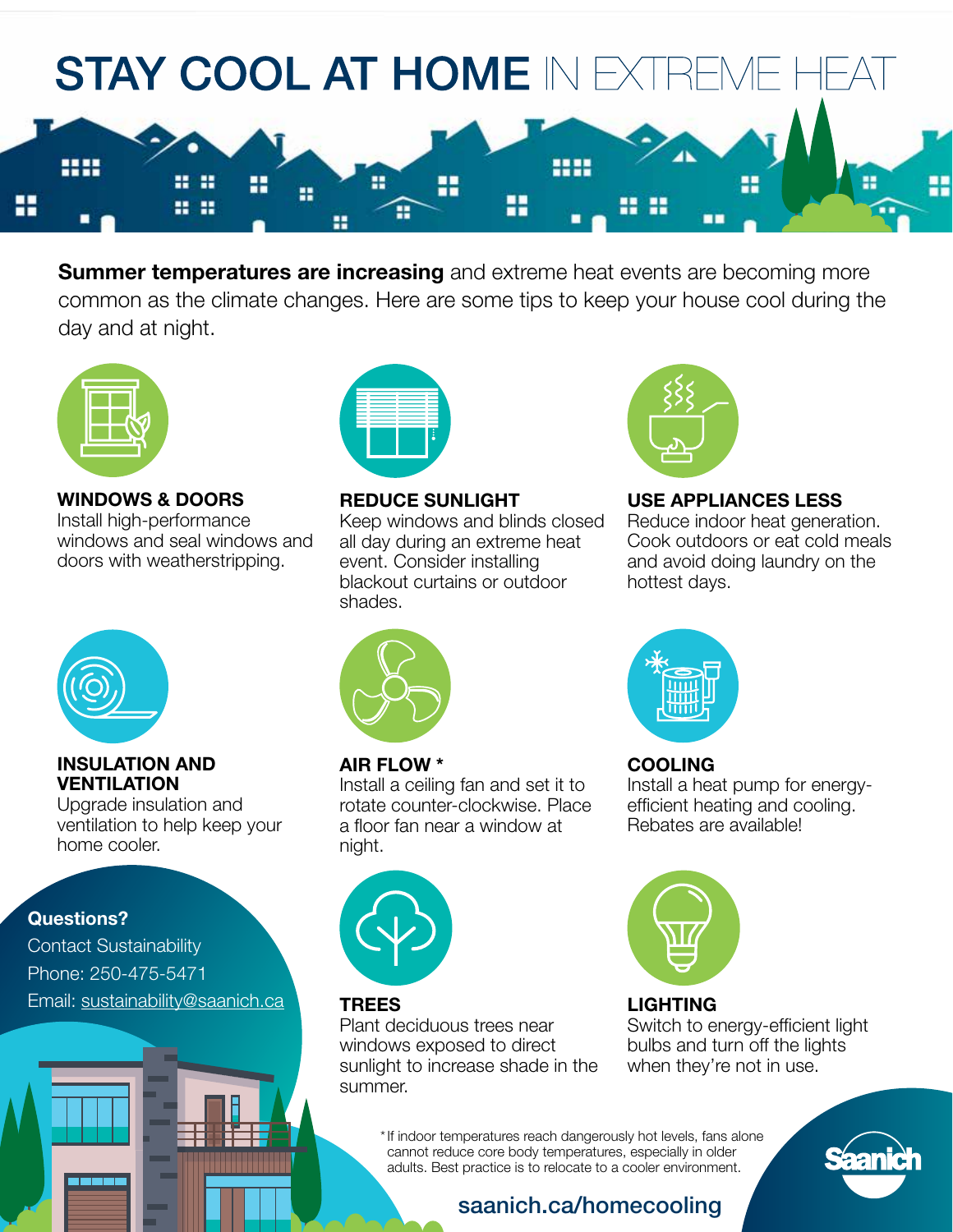

**Summer temperatures are increasing** and extreme heat events are becoming more common as the climate changes. Here are some tips to keep your house cool during the day and at night.



### **WINDOWS & DOORS**

Install high-performance windows and seal windows and doors with weatherstripping.



#### **REDUCE SUNLIGHT**

Keep windows and blinds closed all day during an extreme heat event. Consider installing blackout curtains or outdoor shades.



# **USE APPLIANCES LESS**

Reduce indoor heat generation. Cook outdoors or eat cold meals and avoid doing laundry on the hottest days.



#### **INSULATION AND VENTILATION**

Upgrade insulation and ventilation to help keep your home cooler.

### **Questions?**

Contact Sustainability Phone: 250-475-5471 Email: [sustainability@saanich.ca](mailto:sustainability%40saanich.ca?subject=)





### **AIR FLOW \***

Install a ceiling fan and set it to rotate counter-clockwise. Place a floor fan near a window at night.



### **TREES**

Plant deciduous trees near windows exposed to direct sunlight to increase shade in the summer.



# **COOLING**

Install a heat pump for energyefficient heating and cooling. Rebates are available!



### **LIGHTING**

Switch to energy-efficient light bulbs and turn off the lights when they're not in use.

\* If indoor temperatures reach dangerously hot levels, fans alone cannot reduce core body temperatures, especially in older adults. Best practice is to relocate to a cooler environment.



# [saanich.ca/homecooling](http://saanich.ca/homecooling)